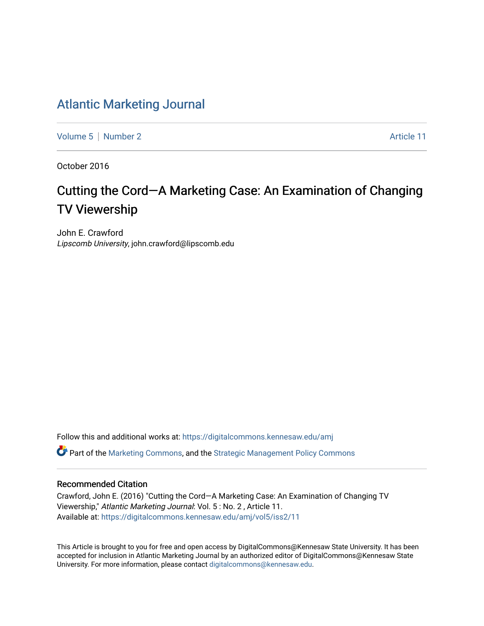#### [Atlantic Marketing Journal](https://digitalcommons.kennesaw.edu/amj)

[Volume 5](https://digitalcommons.kennesaw.edu/amj/vol5) [Number 2](https://digitalcommons.kennesaw.edu/amj/vol5/iss2) Article 11

October 2016

## Cutting the Cord—A Marketing Case: An Examination of Changing TV Viewership

John E. Crawford Lipscomb University, john.crawford@lipscomb.edu

Follow this and additional works at: [https://digitalcommons.kennesaw.edu/amj](https://digitalcommons.kennesaw.edu/amj?utm_source=digitalcommons.kennesaw.edu%2Famj%2Fvol5%2Fiss2%2F11&utm_medium=PDF&utm_campaign=PDFCoverPages) 

Part of the [Marketing Commons](http://network.bepress.com/hgg/discipline/638?utm_source=digitalcommons.kennesaw.edu%2Famj%2Fvol5%2Fiss2%2F11&utm_medium=PDF&utm_campaign=PDFCoverPages), and the [Strategic Management Policy Commons](http://network.bepress.com/hgg/discipline/642?utm_source=digitalcommons.kennesaw.edu%2Famj%2Fvol5%2Fiss2%2F11&utm_medium=PDF&utm_campaign=PDFCoverPages)

#### Recommended Citation

Crawford, John E. (2016) "Cutting the Cord—A Marketing Case: An Examination of Changing TV Viewership," Atlantic Marketing Journal: Vol. 5 : No. 2 , Article 11. Available at: [https://digitalcommons.kennesaw.edu/amj/vol5/iss2/11](https://digitalcommons.kennesaw.edu/amj/vol5/iss2/11?utm_source=digitalcommons.kennesaw.edu%2Famj%2Fvol5%2Fiss2%2F11&utm_medium=PDF&utm_campaign=PDFCoverPages) 

This Article is brought to you for free and open access by DigitalCommons@Kennesaw State University. It has been accepted for inclusion in Atlantic Marketing Journal by an authorized editor of DigitalCommons@Kennesaw State University. For more information, please contact [digitalcommons@kennesaw.edu.](mailto:digitalcommons@kennesaw.edu)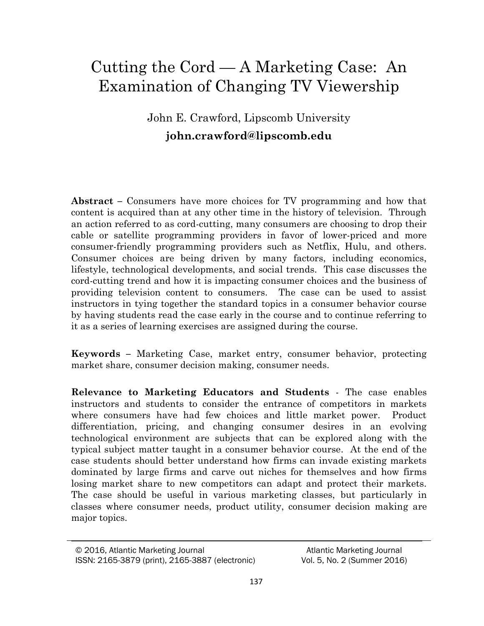# Cutting the Cord — A Marketing Case: An Examination of Changing TV Viewership

### John E. Crawford, Lipscomb University **[john.crawford@lipscomb.edu](mailto:john.crawford@lipscomb.edu)**

**Abstract –** Consumers have more choices for TV programming and how that content is acquired than at any other time in the history of television. Through an action referred to as cord-cutting, many consumers are choosing to drop their cable or satellite programming providers in favor of lower-priced and more consumer-friendly programming providers such as Netflix, Hulu, and others. Consumer choices are being driven by many factors, including economics, lifestyle, technological developments, and social trends. This case discusses the cord-cutting trend and how it is impacting consumer choices and the business of providing television content to consumers. The case can be used to assist instructors in tying together the standard topics in a consumer behavior course by having students read the case early in the course and to continue referring to it as a series of learning exercises are assigned during the course.

**Keywords –** Marketing Case, market entry, consumer behavior, protecting market share, consumer decision making, consumer needs.

**Relevance to Marketing Educators and Students** - The case enables instructors and students to consider the entrance of competitors in markets where consumers have had few choices and little market power. Product differentiation, pricing, and changing consumer desires in an evolving technological environment are subjects that can be explored along with the typical subject matter taught in a consumer behavior course. At the end of the case students should better understand how firms can invade existing markets dominated by large firms and carve out niches for themselves and how firms losing market share to new competitors can adapt and protect their markets. The case should be useful in various marketing classes, but particularly in classes where consumer needs, product utility, consumer decision making are major topics.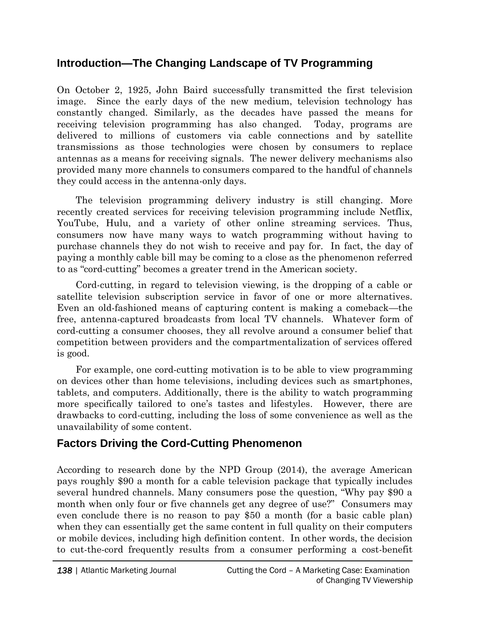### **Introduction—The Changing Landscape of TV Programming**

On October 2, 1925, John Baird successfully transmitted the first television image. Since the early days of the new medium, television technology has constantly changed. Similarly, as the decades have passed the means for receiving television programming has also changed. Today, programs are delivered to millions of customers via cable connections and by satellite transmissions as those technologies were chosen by consumers to replace antennas as a means for receiving signals. The newer delivery mechanisms also provided many more channels to consumers compared to the handful of channels they could access in the antenna-only days.

The television programming delivery industry is still changing. More recently created services for receiving television programming include Netflix, YouTube, Hulu, and a variety of other online streaming services. Thus, consumers now have many ways to watch programming without having to purchase channels they do not wish to receive and pay for. In fact, the day of paying a monthly cable bill may be coming to a close as the phenomenon referred to as "cord-cutting" becomes a greater trend in the American society.

Cord-cutting, in regard to television viewing, is the dropping of a cable or satellite television subscription service in favor of one or more alternatives. Even an old-fashioned means of capturing content is making a comeback—the free, antenna-captured broadcasts from local TV channels. Whatever form of cord-cutting a consumer chooses, they all revolve around a consumer belief that competition between providers and the compartmentalization of services offered is good.

For example, one cord-cutting motivation is to be able to view programming on devices other than home televisions, including devices such as smartphones, tablets, and computers. Additionally, there is the ability to watch programming more specifically tailored to one's tastes and lifestyles. However, there are drawbacks to cord-cutting, including the loss of some convenience as well as the unavailability of some content.

### **Factors Driving the Cord-Cutting Phenomenon**

According to research done by the NPD Group (2014), the average American pays roughly \$90 a month for a cable television package that typically includes several hundred channels. Many consumers pose the question, "Why pay \$90 a month when only four or five channels get any degree of use?" Consumers may even conclude there is no reason to pay \$50 a month (for a basic cable plan) when they can essentially get the same content in full quality on their computers or mobile devices, including high definition content. In other words, the decision to cut-the-cord frequently results from a consumer performing a cost-benefit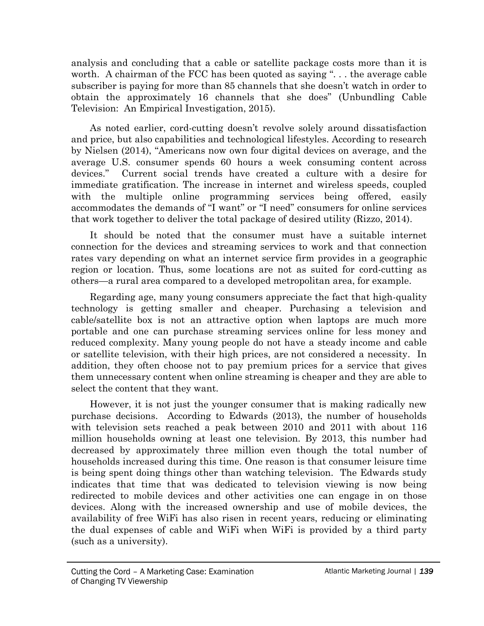analysis and concluding that a cable or satellite package costs more than it is worth. A chairman of the FCC has been quoted as saying "... the average cable subscriber is paying for more than 85 channels that she doesn't watch in order to obtain the approximately 16 channels that she does" (Unbundling Cable Television: An Empirical Investigation, 2015).

As noted earlier, cord-cutting doesn't revolve solely around dissatisfaction and price, but also capabilities and technological lifestyles. According to research by Nielsen (2014), "Americans now own four digital devices on average, and the average U.S. consumer spends 60 hours a week consuming content across devices." Current social trends have created a culture with a desire for immediate gratification. The increase in internet and wireless speeds, coupled with the multiple online programming services being offered, easily accommodates the demands of "I want" or "I need" consumers for online services that work together to deliver the total package of desired utility (Rizzo, 2014).

It should be noted that the consumer must have a suitable internet connection for the devices and streaming services to work and that connection rates vary depending on what an internet service firm provides in a geographic region or location. Thus, some locations are not as suited for cord-cutting as others—a rural area compared to a developed metropolitan area, for example.

Regarding age, many young consumers appreciate the fact that high-quality technology is getting smaller and cheaper. Purchasing a television and cable/satellite box is not an attractive option when laptops are much more portable and one can purchase streaming services online for less money and reduced complexity. Many young people do not have a steady income and cable or satellite television, with their high prices, are not considered a necessity. In addition, they often choose not to pay premium prices for a service that gives them unnecessary content when online streaming is cheaper and they are able to select the content that they want.

However, it is not just the younger consumer that is making radically new purchase decisions. According to Edwards (2013), the number of households with television sets reached a peak between 2010 and 2011 with about 116 million households owning at least one television. By 2013, this number had decreased by approximately three million even though the total number of households increased during this time. One reason is that consumer leisure time is being spent doing things other than watching television. The Edwards study indicates that time that was dedicated to television viewing is now being redirected to mobile devices and other activities one can engage in on those devices. Along with the increased ownership and use of mobile devices, the availability of free WiFi has also risen in recent years, reducing or eliminating the dual expenses of cable and WiFi when WiFi is provided by a third party (such as a university).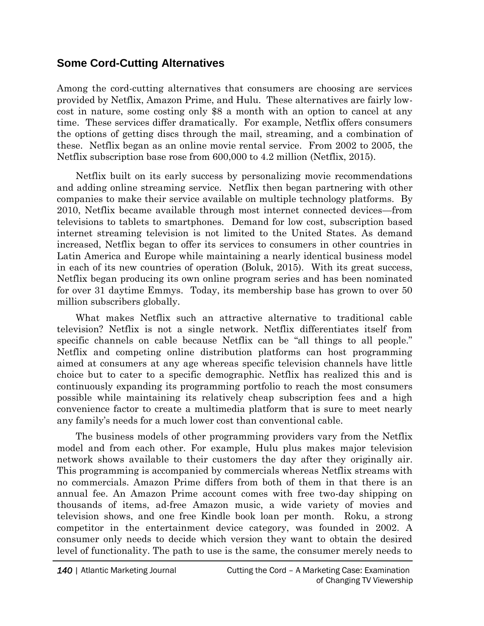#### **Some Cord-Cutting Alternatives**

Among the cord-cutting alternatives that consumers are choosing are services provided by Netflix, Amazon Prime, and Hulu. These alternatives are fairly lowcost in nature, some costing only \$8 a month with an option to cancel at any time. These services differ dramatically. For example, Netflix offers consumers the options of getting discs through the mail, streaming, and a combination of these. Netflix began as an online movie rental service. From 2002 to 2005, the Netflix subscription base rose from 600,000 to 4.2 million (Netflix, 2015).

Netflix built on its early success by personalizing movie recommendations and adding online streaming service. Netflix then began partnering with other companies to make their service available on multiple technology platforms. By 2010, Netflix became available through most internet connected devices—from televisions to tablets to smartphones. Demand for low cost, subscription based internet streaming television is not limited to the United States. As demand increased, Netflix began to offer its services to consumers in other countries in Latin America and Europe while maintaining a nearly identical business model in each of its new countries of operation (Boluk, 2015). With its great success, Netflix began producing its own online program series and has been nominated for over 31 daytime Emmys. Today, its membership base has grown to over 50 million subscribers globally.

What makes Netflix such an attractive alternative to traditional cable television? Netflix is not a single network. Netflix differentiates itself from specific channels on cable because Netflix can be "all things to all people." Netflix and competing online distribution platforms can host programming aimed at consumers at any age whereas specific television channels have little choice but to cater to a specific demographic. Netflix has realized this and is continuously expanding its programming portfolio to reach the most consumers possible while maintaining its relatively cheap subscription fees and a high convenience factor to create a multimedia platform that is sure to meet nearly any family's needs for a much lower cost than conventional cable.

The business models of other programming providers vary from the Netflix model and from each other. For example, Hulu plus makes major television network shows available to their customers the day after they originally air. This programming is accompanied by commercials whereas Netflix streams with no commercials. Amazon Prime differs from both of them in that there is an annual fee. An Amazon Prime account comes with free two-day shipping on thousands of items, ad-free Amazon music, a wide variety of movies and television shows, and one free Kindle book loan per month. Roku, a strong competitor in the entertainment device category, was founded in 2002. A consumer only needs to decide which version they want to obtain the desired level of functionality. The path to use is the same, the consumer merely needs to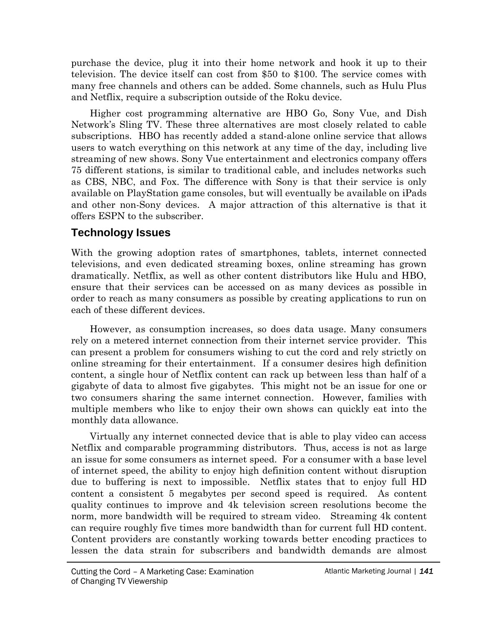purchase the device, plug it into their home network and hook it up to their television. The device itself can cost from \$50 to \$100. The service comes with many free channels and others can be added. Some channels, such as Hulu Plus and Netflix, require a subscription outside of the Roku device.

Higher cost programming alternative are HBO Go, Sony Vue, and Dish Network's Sling TV. These three alternatives are most closely related to cable subscriptions. HBO has recently added a stand-alone online service that allows users to watch everything on this network at any time of the day, including live streaming of new shows. Sony Vue entertainment and electronics company offers 75 different stations, is similar to traditional cable, and includes networks such as CBS, NBC, and Fox. The difference with Sony is that their service is only available on PlayStation game consoles, but will eventually be available on iPads and other non-Sony devices. A major attraction of this alternative is that it offers ESPN to the subscriber.

#### **Technology Issues**

With the growing adoption rates of smartphones, tablets, internet connected televisions, and even dedicated streaming boxes, online streaming has grown dramatically. Netflix, as well as other content distributors like Hulu and HBO, ensure that their services can be accessed on as many devices as possible in order to reach as many consumers as possible by creating applications to run on each of these different devices.

However, as consumption increases, so does data usage. Many consumers rely on a metered internet connection from their internet service provider. This can present a problem for consumers wishing to cut the cord and rely strictly on online streaming for their entertainment. If a consumer desires high definition content, a single hour of Netflix content can rack up between less than half of a gigabyte of data to almost five gigabytes. This might not be an issue for one or two consumers sharing the same internet connection. However, families with multiple members who like to enjoy their own shows can quickly eat into the monthly data allowance.

Virtually any internet connected device that is able to play video can access Netflix and comparable programming distributors. Thus, access is not as large an issue for some consumers as internet speed. For a consumer with a base level of internet speed, the ability to enjoy high definition content without disruption due to buffering is next to impossible. Netflix states that to enjoy full HD content a consistent 5 megabytes per second speed is required. As content quality continues to improve and 4k television screen resolutions become the norm, more bandwidth will be required to stream video. Streaming 4k content can require roughly five times more bandwidth than for current full HD content. Content providers are constantly working towards better encoding practices to lessen the data strain for subscribers and bandwidth demands are almost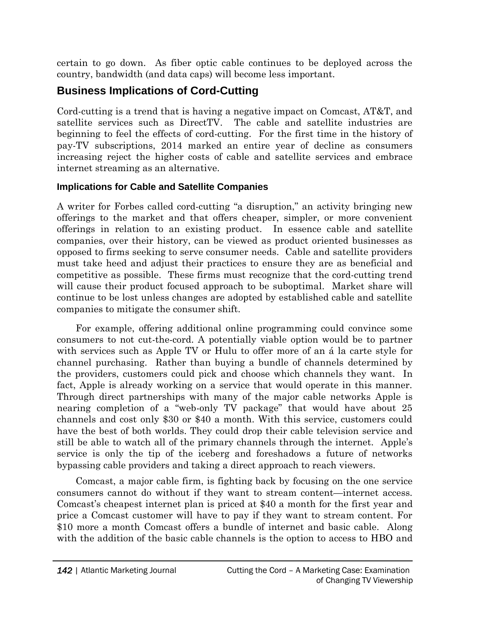certain to go down. As fiber optic cable continues to be deployed across the country, bandwidth (and data caps) will become less important.

### **Business Implications of Cord-Cutting**

Cord-cutting is a trend that is having a negative impact on Comcast, AT&T, and satellite services such as DirectTV. The cable and satellite industries are beginning to feel the effects of cord-cutting. For the first time in the history of pay-TV subscriptions, 2014 marked an entire year of decline as consumers increasing reject the higher costs of cable and satellite services and embrace internet streaming as an alternative.

#### **Implications for Cable and Satellite Companies**

A writer for Forbes called cord-cutting "a disruption," an activity bringing new offerings to the market and that offers cheaper, simpler, or more convenient offerings in relation to an existing product. In essence cable and satellite companies, over their history, can be viewed as product oriented businesses as opposed to firms seeking to serve consumer needs. Cable and satellite providers must take heed and adjust their practices to ensure they are as beneficial and competitive as possible. These firms must recognize that the cord-cutting trend will cause their product focused approach to be suboptimal. Market share will continue to be lost unless changes are adopted by established cable and satellite companies to mitigate the consumer shift.

For example, offering additional online programming could convince some consumers to not cut-the-cord. A potentially viable option would be to partner with services such as Apple TV or Hulu to offer more of an á la carte style for channel purchasing. Rather than buying a bundle of channels determined by the providers, customers could pick and choose which channels they want. In fact, Apple is already working on a service that would operate in this manner. Through direct partnerships with many of the major cable networks Apple is nearing completion of a "web-only TV package" that would have about 25 channels and cost only \$30 or \$40 a month. With this service, customers could have the best of both worlds. They could drop their cable television service and still be able to watch all of the primary channels through the internet. Apple's service is only the tip of the iceberg and foreshadows a future of networks bypassing cable providers and taking a direct approach to reach viewers.

Comcast, a major cable firm, is fighting back by focusing on the one service consumers cannot do without if they want to stream content—internet access. Comcast's cheapest internet plan is priced at \$40 a month for the first year and price a Comcast customer will have to pay if they want to stream content. For \$10 more a month Comcast offers a bundle of internet and basic cable. Along with the addition of the basic cable channels is the option to access to HBO and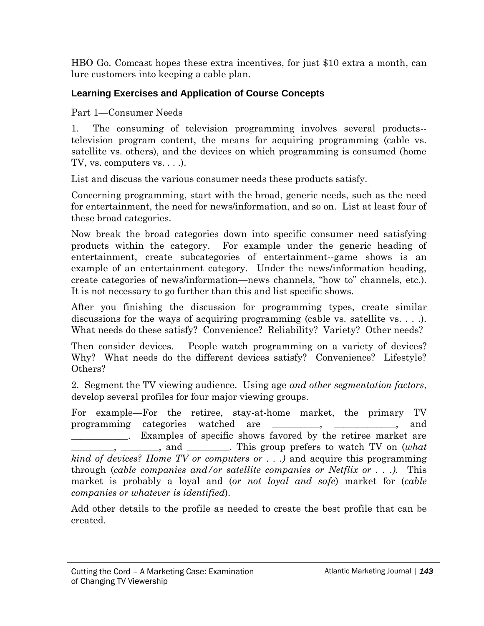HBO Go. Comcast hopes these extra incentives, for just \$10 extra a month, can lure customers into keeping a cable plan.

#### **Learning Exercises and Application of Course Concepts**

Part 1—Consumer Needs

1. The consuming of television programming involves several products- television program content, the means for acquiring programming (cable vs. satellite vs. others), and the devices on which programming is consumed (home TV, vs. computers vs. . . .).

List and discuss the various consumer needs these products satisfy.

Concerning programming, start with the broad, generic needs, such as the need for entertainment, the need for news/information, and so on. List at least four of these broad categories.

Now break the broad categories down into specific consumer need satisfying products within the category. For example under the generic heading of entertainment, create subcategories of entertainment--game shows is an example of an entertainment category. Under the news/information heading, create categories of news/information—news channels, "how to" channels, etc.). It is not necessary to go further than this and list specific shows.

After you finishing the discussion for programming types, create similar discussions for the ways of acquiring programming (cable vs. satellite vs.  $\dots$ ). What needs do these satisfy? Convenience? Reliability? Variety? Other needs?

Then consider devices. People watch programming on a variety of devices? Why? What needs do the different devices satisfy? Convenience? Lifestyle? Others?

2. Segment the TV viewing audience. Using age *and other segmentation factors*, develop several profiles for four major viewing groups.

For example—For the retiree, stay-at-home market, the primary TV programming categories watched are \_\_\_\_\_\_\_\_\_\_, \_\_\_\_\_\_\_\_\_\_\_\_\_, and . Examples of specific shows favored by the retiree market are  $\Box$ , \_\_\_\_\_\_, and \_\_\_\_\_\_\_. This group prefers to watch TV on (*what kind of devices? Home TV or computers or . . .)* and acquire this programming through (*cable companies and/or satellite companies or Netflix or . . .).* This market is probably a loyal and (*or not loyal and safe*) market for (*cable companies or whatever is identified*).

Add other details to the profile as needed to create the best profile that can be created.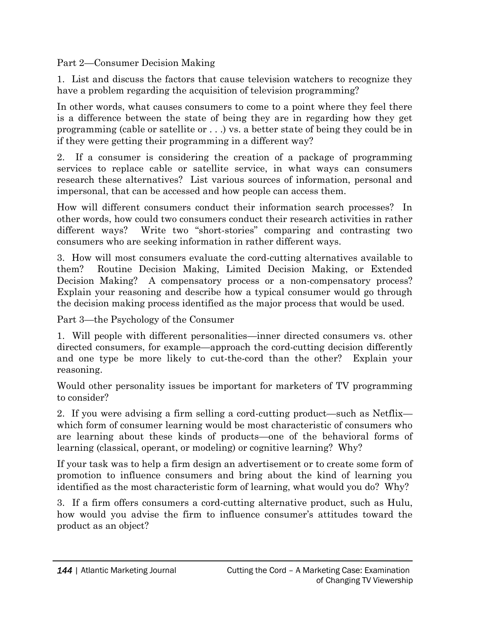Part 2—Consumer Decision Making

1. List and discuss the factors that cause television watchers to recognize they have a problem regarding the acquisition of television programming?

In other words, what causes consumers to come to a point where they feel there is a difference between the state of being they are in regarding how they get programming (cable or satellite or . . .) vs. a better state of being they could be in if they were getting their programming in a different way?

2. If a consumer is considering the creation of a package of programming services to replace cable or satellite service, in what ways can consumers research these alternatives? List various sources of information, personal and impersonal, that can be accessed and how people can access them.

How will different consumers conduct their information search processes? In other words, how could two consumers conduct their research activities in rather different ways? Write two "short-stories" comparing and contrasting two consumers who are seeking information in rather different ways.

3. How will most consumers evaluate the cord-cutting alternatives available to them? Routine Decision Making, Limited Decision Making, or Extended Decision Making? A compensatory process or a non-compensatory process? Explain your reasoning and describe how a typical consumer would go through the decision making process identified as the major process that would be used.

Part 3—the Psychology of the Consumer

1. Will people with different personalities—inner directed consumers vs. other directed consumers, for example—approach the cord-cutting decision differently and one type be more likely to cut-the-cord than the other? Explain your reasoning.

Would other personality issues be important for marketers of TV programming to consider?

2. If you were advising a firm selling a cord-cutting product—such as Netflix which form of consumer learning would be most characteristic of consumers who are learning about these kinds of products—one of the behavioral forms of learning (classical, operant, or modeling) or cognitive learning? Why?

If your task was to help a firm design an advertisement or to create some form of promotion to influence consumers and bring about the kind of learning you identified as the most characteristic form of learning, what would you do? Why?

3. If a firm offers consumers a cord-cutting alternative product, such as Hulu, how would you advise the firm to influence consumer's attitudes toward the product as an object?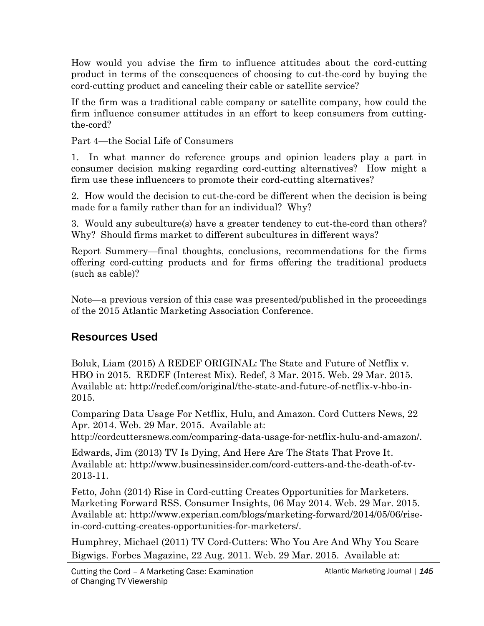How would you advise the firm to influence attitudes about the cord-cutting product in terms of the consequences of choosing to cut-the-cord by buying the cord-cutting product and canceling their cable or satellite service?

If the firm was a traditional cable company or satellite company, how could the firm influence consumer attitudes in an effort to keep consumers from cuttingthe-cord?

Part 4—the Social Life of Consumers

1. In what manner do reference groups and opinion leaders play a part in consumer decision making regarding cord-cutting alternatives? How might a firm use these influencers to promote their cord-cutting alternatives?

2. How would the decision to cut-the-cord be different when the decision is being made for a family rather than for an individual? Why?

3. Would any subculture(s) have a greater tendency to cut-the-cord than others? Why? Should firms market to different subcultures in different ways?

Report Summery—final thoughts, conclusions, recommendations for the firms offering cord-cutting products and for firms offering the traditional products (such as cable)?

Note—a previous version of this case was presented/published in the proceedings of the 2015 Atlantic Marketing Association Conference.

#### **Resources Used**

Boluk, Liam (2015) A REDEF ORIGINAL: The State and Future of Netflix v. HBO in 2015. REDEF (Interest Mix). Redef, 3 Mar. 2015. Web. 29 Mar. 2015. Available at: http://redef.com/original/the-state-and-future-of-netflix-v-hbo-in-2015.

Comparing Data Usage For Netflix, Hulu, and Amazon. Cord Cutters News, 22 Apr. 2014. Web. 29 Mar. 2015. Available at:

http://cordcuttersnews.com/comparing-data-usage-for-netflix-hulu-and-amazon/.

Edwards, Jim (2013) TV Is Dying, And Here Are The Stats That Prove It. Available at: http://www.businessinsider.com/cord-cutters-and-the-death-of-tv-2013-11.

Fetto, John (2014) Rise in Cord-cutting Creates Opportunities for Marketers. Marketing Forward RSS. Consumer Insights, 06 May 2014. Web. 29 Mar. 2015. Available at: http://www.experian.com/blogs/marketing-forward/2014/05/06/risein-cord-cutting-creates-opportunities-for-marketers/.

Humphrey, Michael (2011) TV Cord-Cutters: Who You Are And Why You Scare Bigwigs. Forbes Magazine, 22 Aug. 2011. Web. 29 Mar. 2015. Available at: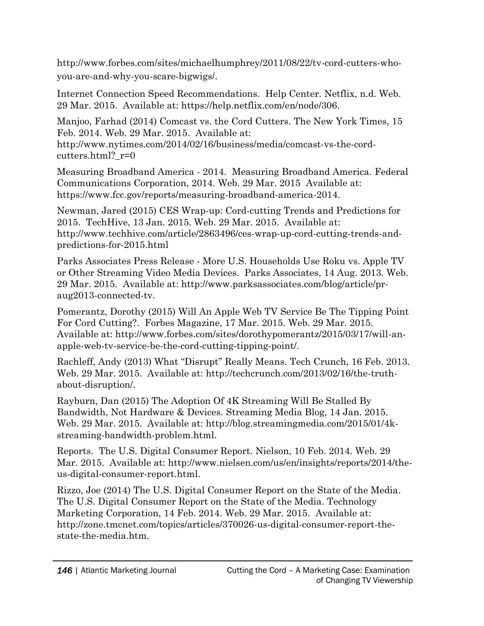http://www.forbes.com/sites/michaelhumphrey/2011/08/22/tv-cord-cutters-whoyou-are-and-why-you-scare-bigwigs/.

Internet Connection Speed Recommendations. Help Center. Netflix, n.d. Web. 29 Mar. 2015. Available at: https://help.netflix.com/en/node/306.

Manjoo, Farhad (2014) Comcast vs. the Cord Cutters. The New York Times, 15 Feb. 2014. Web. 29 Mar. 2015. Available at:

http://www.nytimes.com/2014/02/16/business/media/comcast-vs-the-cordcutters.html?  $r=0$ 

Measuring Broadband America - 2014. Measuring Broadband America. Federal Communications Corporation, 2014. Web. 29 Mar. 2015 Available at: https://www.fcc.gov/reports/measuring-broadband-america-2014.

Newman, Jared (2015) CES Wrap-up: Cord-cutting Trends and Predictions for 2015. TechHive, 13 Jan. 2015. Web. 29 Mar. 2015. Available at: http://www.techhive.com/article/2863496/ces-wrap-up-cord-cutting-trends-andpredictions-for-2015.html

Parks Associates Press Release - More U.S. Households Use Roku vs. Apple TV or Other Streaming Video Media Devices. Parks Associates, 14 Aug. 2013. Web. 29 Mar. 2015. Available at: http://www.parksassociates.com/blog/article/praug2013-connected-tv.

Pomerantz, Dorothy (2015) Will An Apple Web TV Service Be The Tipping Point For Cord Cutting?. Forbes Magazine, 17 Mar. 2015. Web. 29 Mar. 2015. Available at: http://www.forbes.com/sites/dorothypomerantz/2015/03/17/will-anapple-web-tv-service-be-the-cord-cutting-tipping-point/.

Rachleff, Andy (2013) What "Disrupt" Really Means. Tech Crunch, 16 Feb. 2013. Web. 29 Mar. 2015. Available at: http://techcrunch.com/2013/02/16/the-truthabout-disruption/.

Rayburn, Dan (2015) The Adoption Of 4K Streaming Will Be Stalled By Bandwidth, Not Hardware & Devices. Streaming Media Blog, 14 Jan. 2015. Web. 29 Mar. 2015. Available at: http://blog.streamingmedia.com/2015/01/4kstreaming-bandwidth-problem.html.

Reports. The U.S. Digital Consumer Report. Nielson, 10 Feb. 2014. Web. 29 Mar. 2015. Available at: http://www.nielsen.com/us/en/insights/reports/2014/theus-digital-consumer-report.html.

Rizzo, Joe (2014) The U.S. Digital Consumer Report on the State of the Media. The U.S. Digital Consumer Report on the State of the Media. Technology Marketing Corporation, 14 Feb. 2014. Web. 29 Mar. 2015. Available at: http://zone.tmcnet.com/topics/articles/370026-us-digital-consumer-report-thestate-the-media.htm.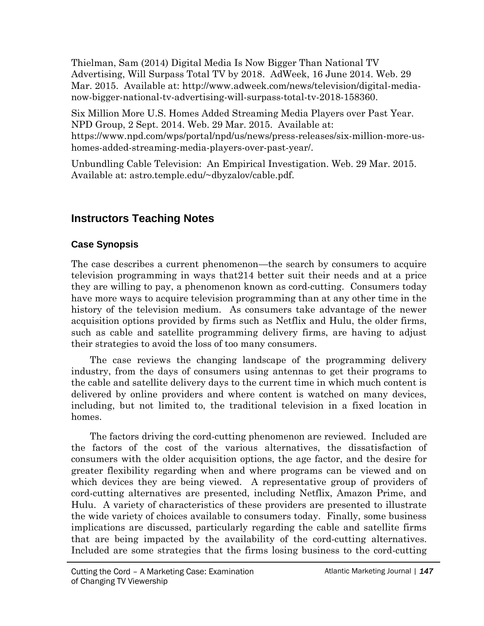Thielman, Sam (2014) Digital Media Is Now Bigger Than National TV Advertising, Will Surpass Total TV by 2018. AdWeek, 16 June 2014. Web. 29 Mar. 2015. Available at: http://www.adweek.com/news/television/digital-medianow-bigger-national-tv-advertising-will-surpass-total-tv-2018-158360.

Six Million More U.S. Homes Added Streaming Media Players over Past Year. NPD Group, 2 Sept. 2014. Web. 29 Mar. 2015. Available at: https://www.npd.com/wps/portal/npd/us/news/press-releases/six-million-more-ushomes-added-streaming-media-players-over-past-year/.

Unbundling Cable Television: An Empirical Investigation. Web. 29 Mar. 2015. Available at: astro.temple.edu/~dbyzalov/cable.pdf.

### **Instructors Teaching Notes**

#### **Case Synopsis**

The case describes a current phenomenon—the search by consumers to acquire television programming in ways that214 better suit their needs and at a price they are willing to pay, a phenomenon known as cord-cutting. Consumers today have more ways to acquire television programming than at any other time in the history of the television medium. As consumers take advantage of the newer acquisition options provided by firms such as Netflix and Hulu, the older firms, such as cable and satellite programming delivery firms, are having to adjust their strategies to avoid the loss of too many consumers.

The case reviews the changing landscape of the programming delivery industry, from the days of consumers using antennas to get their programs to the cable and satellite delivery days to the current time in which much content is delivered by online providers and where content is watched on many devices, including, but not limited to, the traditional television in a fixed location in homes.

The factors driving the cord-cutting phenomenon are reviewed. Included are the factors of the cost of the various alternatives, the dissatisfaction of consumers with the older acquisition options, the age factor, and the desire for greater flexibility regarding when and where programs can be viewed and on which devices they are being viewed. A representative group of providers of cord-cutting alternatives are presented, including Netflix, Amazon Prime, and Hulu. A variety of characteristics of these providers are presented to illustrate the wide variety of choices available to consumers today. Finally, some business implications are discussed, particularly regarding the cable and satellite firms that are being impacted by the availability of the cord-cutting alternatives. Included are some strategies that the firms losing business to the cord-cutting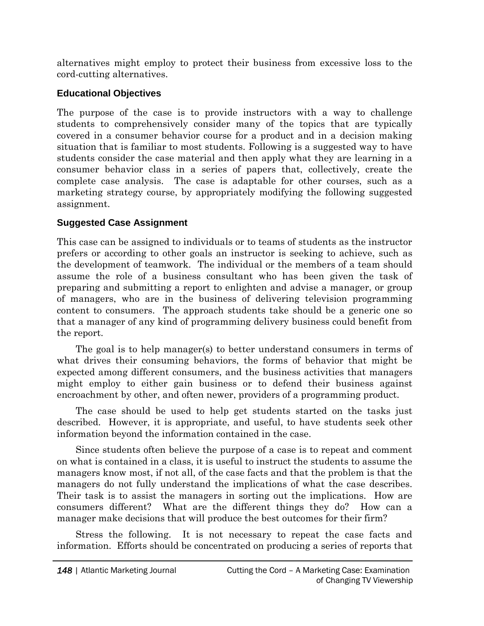alternatives might employ to protect their business from excessive loss to the cord-cutting alternatives.

#### **Educational Objectives**

The purpose of the case is to provide instructors with a way to challenge students to comprehensively consider many of the topics that are typically covered in a consumer behavior course for a product and in a decision making situation that is familiar to most students. Following is a suggested way to have students consider the case material and then apply what they are learning in a consumer behavior class in a series of papers that, collectively, create the complete case analysis. The case is adaptable for other courses, such as a marketing strategy course, by appropriately modifying the following suggested assignment.

#### **Suggested Case Assignment**

This case can be assigned to individuals or to teams of students as the instructor prefers or according to other goals an instructor is seeking to achieve, such as the development of teamwork. The individual or the members of a team should assume the role of a business consultant who has been given the task of preparing and submitting a report to enlighten and advise a manager, or group of managers, who are in the business of delivering television programming content to consumers. The approach students take should be a generic one so that a manager of any kind of programming delivery business could benefit from the report.

The goal is to help manager(s) to better understand consumers in terms of what drives their consuming behaviors, the forms of behavior that might be expected among different consumers, and the business activities that managers might employ to either gain business or to defend their business against encroachment by other, and often newer, providers of a programming product.

The case should be used to help get students started on the tasks just described. However, it is appropriate, and useful, to have students seek other information beyond the information contained in the case.

Since students often believe the purpose of a case is to repeat and comment on what is contained in a class, it is useful to instruct the students to assume the managers know most, if not all, of the case facts and that the problem is that the managers do not fully understand the implications of what the case describes. Their task is to assist the managers in sorting out the implications. How are consumers different? What are the different things they do? How can a manager make decisions that will produce the best outcomes for their firm?

Stress the following. It is not necessary to repeat the case facts and information. Efforts should be concentrated on producing a series of reports that